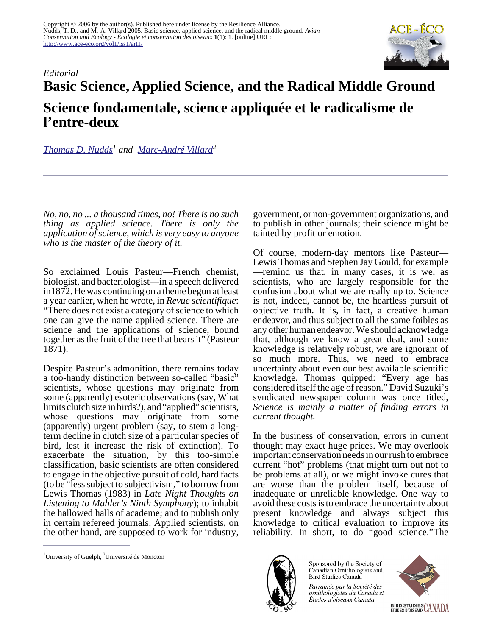

## *Editorial* **Basic Science, Applied Science, and the Radical Middle Ground Science fondamentale, science appliquée et le radicalisme de l'entre-deux**

*[Thomas D. Nudds](mailto:tnudds@uoguelph.ca)<sup>1</sup> and [Marc-André Villard](mailto:villarm@UMoncton.CA)<sup>2</sup>*

*No, no, no ... a thousand times, no! There is no such thing as applied science. There is only the application of science, which is very easy to anyone who is the master of the theory of it.*

So exclaimed Louis Pasteur—French chemist, biologist, and bacteriologist—in a speech delivered in1872. He was continuing on a theme begun at least a year earlier, when he wrote, in *Revue scientifique*: "There does not exist a category of science to which one can give the name applied science. There are science and the applications of science, bound together as the fruit of the tree that bears it" (Pasteur 1871).

Despite Pasteur's admonition, there remains today a too-handy distinction between so-called "basic" scientists, whose questions may originate from some (apparently) esoteric observations (say, What limits clutch size in birds?), and "applied" scientists, whose questions may originate from some (apparently) urgent problem (say, to stem a longterm decline in clutch size of a particular species of bird, lest it increase the risk of extinction). To exacerbate the situation, by this too-simple classification, basic scientists are often considered to engage in the objective pursuit of cold, hard facts (to be "less subject to subjectivism," to borrow from Lewis Thomas (1983) in *Late Night Thoughts on Listening to Mahler's Ninth Symphony*); to inhabit the hallowed halls of academe; and to publish only in certain refereed journals. Applied scientists, on the other hand, are supposed to work for industry,

government, or non-government organizations, and to publish in other journals; their science might be tainted by profit or emotion.

Of course, modern-day mentors like Pasteur— Lewis Thomas and Stephen Jay Gould, for example —remind us that, in many cases, it is we, as scientists, who are largely responsible for the confusion about what we are really up to. Science is not, indeed, cannot be, the heartless pursuit of objective truth. It is, in fact, a creative human endeavor, and thus subject to all the same foibles as any other human endeavor. We should acknowledge that, although we know a great deal, and some knowledge is relatively robust, we are ignorant of so much more. Thus, we need to embrace uncertainty about even our best available scientific knowledge. Thomas quipped: "Every age has considered itself the age of reason." David Suzuki's syndicated newspaper column was once titled, *Science is mainly a matter of finding errors in current thought.*

In the business of conservation, errors in current thought may exact huge prices. We may overlook important conservation needs in our rush to embrace current "hot" problems (that might turn out not to be problems at all), or we might invoke cures that are worse than the problem itself, because of inadequate or unreliable knowledge. One way to avoid these costs is to embrace the uncertainty about present knowledge and always subject this knowledge to critical evaluation to improve its reliability. In short, to do "good science."The



Canadian Ornithologists and Bird Studies Canada Parrainée par la Société des ornithologistes du Canada et Études d'oiseaux Canada

Sponsored by the Society of



<sup>&</sup>lt;sup>1</sup>University of Guelph,  ${}^{2}$ Université de Moncton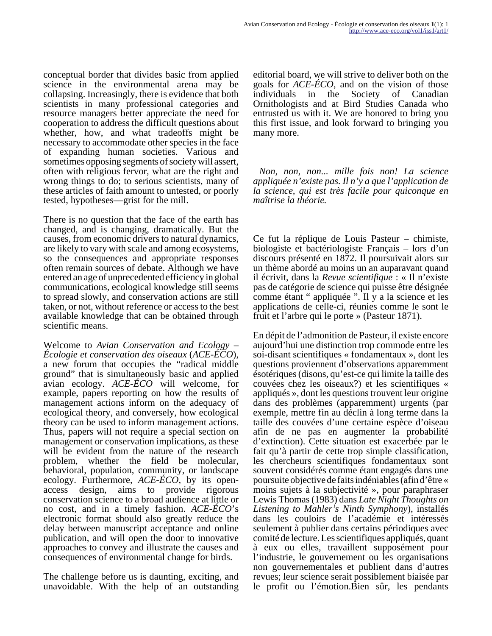conceptual border that divides basic from applied science in the environmental arena may be collapsing. Increasingly, there is evidence that both scientists in many professional categories and resource managers better appreciate the need for cooperation to address the difficult questions about whether, how, and what tradeoffs might be necessary to accommodate other species in the face of expanding human societies. Various and sometimes opposing segments of society will assert, often with religious fervor, what are the right and wrong things to do; to serious scientists, many of these articles of faith amount to untested, or poorly tested, hypotheses—grist for the mill.

There is no question that the face of the earth has changed, and is changing, dramatically. But the causes, from economic drivers to natural dynamics, are likely to vary with scale and among ecosystems, so the consequences and appropriate responses often remain sources of debate. Although we have entered an age of unprecedented efficiency in global communications, ecological knowledge still seems to spread slowly, and conservation actions are still taken, or not, without reference or access to the best available knowledge that can be obtained through scientific means.

Welcome to *Avian Conservation and Ecology – Écologie et conservation des oiseaux* (*ACE-ÉCO*), a new forum that occupies the "radical middle ground" that is simultaneously basic and applied avian ecology. *ACE-ÉCO* will welcome, for example, papers reporting on how the results of management actions inform on the adequacy of ecological theory, and conversely, how ecological theory can be used to inform management actions. Thus, papers will not require a special section on management or conservation implications, as these will be evident from the nature of the research problem, whether the field be molecular, behavioral, population, community, or landscape ecology. Furthermore, *ACE-ÉCO*, by its openaccess design, aims to provide rigorous conservation science to a broad audience at little or no cost, and in a timely fashion. *ACE-ÉCO*'s electronic format should also greatly reduce the delay between manuscript acceptance and online publication, and will open the door to innovative approaches to convey and illustrate the causes and consequences of environmental change for birds.

The challenge before us is daunting, exciting, and unavoidable. With the help of an outstanding editorial board, we will strive to deliver both on the goals for *ACE-ÉCO*, and on the vision of those individuals in the Society of Canadian Ornithologists and at Bird Studies Canada who entrusted us with it. We are honored to bring you this first issue, and look forward to bringing you many more.

*Non, non, non... mille fois non! La science appliquée n'existe pas. Il n'y a que l'application de la science, qui est très facile pour quiconque en maîtrise la théorie.*

Ce fut la réplique de Louis Pasteur – chimiste, biologiste et bactériologiste Français – lors d'un discours présenté en 1872. Il poursuivait alors sur un thème abordé au moins un an auparavant quand il écrivit, dans la *Revue scientifique* : « Il n'existe pas de catégorie de science qui puisse être désignée comme étant " appliquée ". Il y a la science et les applications de celle-ci, réunies comme le sont le fruit et l'arbre qui le porte » (Pasteur 1871).

En dépit de l'admonition de Pasteur, il existe encore aujourd'hui une distinction trop commode entre les soi-disant scientifiques « fondamentaux », dont les questions proviennent d'observations apparemment ésotériques (disons, qu'est-ce qui limite la taille des couvées chez les oiseaux?) et les scientifiques « appliqués », dont les questions trouvent leur origine dans des problèmes (apparemment) urgents (par exemple, mettre fin au déclin à long terme dans la taille des couvées d'une certaine espèce d'oiseau afin de ne pas en augmenter la probabilité d'extinction). Cette situation est exacerbée par le fait qu'à partir de cette trop simple classification, les chercheurs scientifiques fondamentaux sont souvent considérés comme étant engagés dans une poursuite objective de faits indéniables (afin d'être « moins sujets à la subjectivité », pour paraphraser Lewis Thomas (1983) dans *Late Night Thoughts on Listening to Mahler's Ninth Symphony*), installés dans les couloirs de l'académie et intéressés seulement à publier dans certains périodiques avec comité de lecture. Les scientifiques appliqués, quant à eux ou elles, travaillent supposément pour l'industrie, le gouvernement ou les organisations non gouvernementales et publient dans d'autres revues; leur science serait possiblement biaisée par le profit ou l'émotion.Bien sûr, les pendants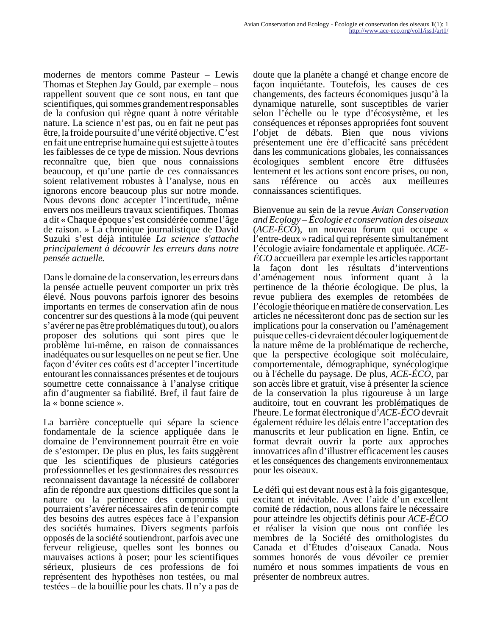modernes de mentors comme Pasteur – Lewis Thomas et Stephen Jay Gould, par exemple – nous rappellent souvent que ce sont nous, en tant que scientifiques, qui sommes grandement responsables de la confusion qui règne quant à notre véritable nature. La science n'est pas, ou en fait ne peut pas être, la froide poursuite d'une vérité objective. C'est en fait une entreprise humaine qui est sujette à toutes les faiblesses de ce type de mission. Nous devrions reconnaître que, bien que nous connaissions beaucoup, et qu'une partie de ces connaissances soient relativement robustes à l'analyse, nous en ignorons encore beaucoup plus sur notre monde. Nous devons donc accepter l'incertitude, même envers nos meilleurs travaux scientifiques. Thomas a dit « Chaque époque s'est considérée comme l'âge de raison. » La chronique journalistique de David Suzuki s'est déjà intitulée *La science s'attache principalement à découvrir les erreurs dans notre pensée actuelle.*

Dans le domaine de la conservation, les erreurs dans la pensée actuelle peuvent comporter un prix très élevé. Nous pouvons parfois ignorer des besoins importants en termes de conservation afin de nous concentrer sur des questions à la mode (qui peuvent s'avérer ne pas être problématiques du tout), ou alors proposer des solutions qui sont pires que le problème lui-même, en raison de connaissances inadéquates ou sur lesquelles on ne peut se fier. Une façon d'éviter ces coûts est d'accepter l'incertitude entourant les connaissances présentes et de toujours soumettre cette connaissance à l'analyse critique afin d'augmenter sa fiabilité. Bref, il faut faire de la « bonne science ».

La barrière conceptuelle qui sépare la science fondamentale de la science appliquée dans le domaine de l'environnement pourrait être en voie de s'estomper. De plus en plus, les faits suggèrent que les scientifiques de plusieurs catégories professionnelles et les gestionnaires des ressources reconnaissent davantage la nécessité de collaborer afin de répondre aux questions difficiles que sont la nature ou la pertinence des compromis qui pourraient s'avérer nécessaires afin de tenir compte des besoins des autres espèces face à l'expansion des sociétés humaines. Divers segments parfois opposés de la société soutiendront, parfois avec une ferveur religieuse, quelles sont les bonnes ou mauvaises actions à poser; pour les scientifiques sérieux, plusieurs de ces professions de foi représentent des hypothèses non testées, ou mal testées – de la bouillie pour les chats. Il n'y a pas de

doute que la planète a changé et change encore de façon inquiétante. Toutefois, les causes de ces changements, des facteurs économiques jusqu'à la dynamique naturelle, sont susceptibles de varier selon l'échelle ou le type d'écosystème, et les conséquences et réponses appropriées font souvent l'objet de débats. Bien que nous vivions présentement une ère d'efficacité sans précédent dans les communications globales, les connaissances écologiques semblent encore être diffusées lentement et les actions sont encore prises, ou non, sans référence ou accès aux meilleures connaissances scientifiques.

Bienvenue au sein de la revue *Avian Conservation and Ecology – Écologie et conservation des oiseaux* (*ACE-ÉCO*), un nouveau forum qui occupe « l'entre-deux » radical qui représente simultanément l'écologie aviaire fondamentale et appliquée. *ACE-ÉCO* accueillera par exemple les articles rapportant la façon dont les résultats d'interventions d'aménagement nous informent quant à la pertinence de la théorie écologique. De plus, la revue publiera des exemples de retombées de l'écologie théorique en matière de conservation. Les articles ne nécessiteront donc pas de section sur les implications pour la conservation ou l'aménagement puisque celles-ci devraient découler logiquement de la nature même de la problématique de recherche, que la perspective écologique soit moléculaire, comportementale, démographique, synécologique ou à l'échelle du paysage. De plus, *ACE-ÉCO*, par son accès libre et gratuit, vise à présenter la science de la conservation la plus rigoureuse à un large auditoire, tout en couvrant les problématiques de l'heure. Le format électronique d'*ACE-ÉCO* devrait également réduire les délais entre l'acceptation des manuscrits et leur publication en ligne. Enfin, ce format devrait ouvrir la porte aux approches innovatrices afin d'illustrer efficacement les causes et les conséquences des changements environnementaux pour les oiseaux.

Le défi qui est devant nous est à la fois gigantesque, excitant et inévitable. Avec l'aide d'un excellent comité de rédaction, nous allons faire le nécessaire pour atteindre les objectifs définis pour *ACE-ÉCO* et réaliser la vision que nous ont confiée les membres de la Société des ornithologistes du Canada et d'Études d'oiseaux Canada. Nous sommes honorés de vous dévoiler ce premier numéro et nous sommes impatients de vous en présenter de nombreux autres.